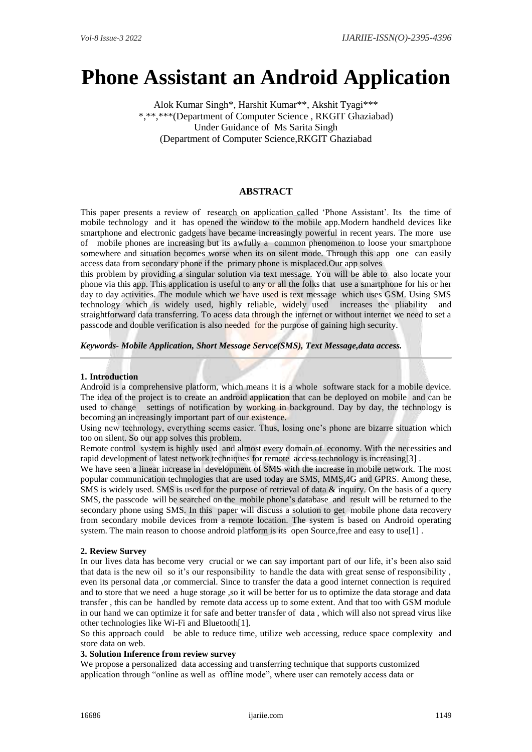# **Phone Assistant an Android Application**

Alok Kumar Singh\*, Harshit Kumar\*\*, Akshit Tyagi\*\*\* \*,\*\*,\*\*\*(Department of Computer Science , RKGIT Ghaziabad) Under Guidance of Ms Sarita Singh (Department of Computer Science,RKGIT Ghaziabad

# **ABSTRACT**

This paper presents a review of research on application called 'Phone Assistant'. Its the time of mobile technology and it has opened the window to the mobile app.Modern handheld devices like smartphone and electronic gadgets have became increasingly powerful in recent years. The more use of mobile phones are increasing but its awfully a common phenomenon to loose your smartphone somewhere and situation becomes worse when its on silent mode. Through this app one can easily access data from secondary phone if the primary phone is misplaced.Our app solves

this problem by providing a singular solution via text message. You will be able to also locate your phone via this app. This application is useful to any or all the folks that use a smartphone for his or her day to day activities. The module which we have used is text message which uses GSM. Using SMS technology which is widely used, highly reliable, widely used increases the pliability and straightforward data transferring. To acess data through the internet or without internet we need to set a passcode and double verification is also needed for the purpose of gaining high security.

*Keywords- Mobile Application, Short Message Servce(SMS), Text Message,data access.*

## **1. Introduction**

Android is a comprehensive platform, which means it is a whole software stack for a mobile device. The idea of the project is to create an android application that can be deployed on mobile and can be used to change settings of notification by working in background. Day by day, the technology is becoming an increasingly important part of our existence.

Using new technology, everything seems easier. Thus, losing one's phone are bizarre situation which too on silent. So our app solves this problem.

Remote control system is highly used and almost every domain of economy. With the necessities and rapid development of latest network techniques for remote access technology is increasing[3] .

We have seen a linear increase in development of SMS with the increase in mobile network. The most popular communication technologies that are used today are SMS, MMS,4G and GPRS. Among these, SMS is widely used. SMS is used for the purpose of retrieval of data & inquiry. On the basis of a query SMS, the passcode will be searched on the mobile phone's database and result will be returned to the secondary phone using SMS. In this paper will discuss a solution to get mobile phone data recovery from secondary mobile devices from a remote location. The system is based on Android operating system. The main reason to choose android platform is its open Source, free and easy to use[1].

#### **2. Review Survey**

In our lives data has become very crucial or we can say important part of our life, it's been also said that data is the new oil so it's our responsibility to handle the data with great sense of responsibility , even its personal data ,or commercial. Since to transfer the data a good internet connection is required and to store that we need a huge storage ,so it will be better for us to optimize the data storage and data transfer , this can be handled by remote data access up to some extent. And that too with GSM module in our hand we can optimize it for safe and better transfer of data , which will also not spread virus like other technologies like Wi-Fi and Bluetooth[1].

So this approach could be able to reduce time, utilize web accessing, reduce space complexity and store data on web.

#### **3. Solution Inference from review survey**

We propose a personalized data accessing and transferring technique that supports customized application through "online as well as offline mode", where user can remotely access data or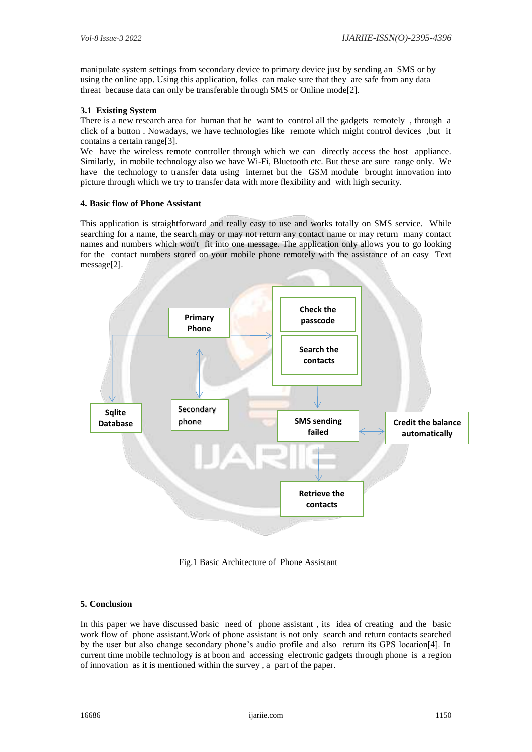manipulate system settings from secondary device to primary device just by sending an SMS or by using the online app. Using this application, folks can make sure that they are safe from any data threat because data can only be transferable through SMS or Online mode[2].

## **3.1 Existing System**

There is a new research area for human that he want to control all the gadgets remotely , through a click of a button . Nowadays, we have technologies like remote which might control devices ,but it contains a certain range[3].

We have the wireless remote controller through which we can directly access the host appliance. Similarly, in mobile technology also we have Wi-Fi, Bluetooth etc. But these are sure range only. We have the technology to transfer data using internet but the GSM module brought innovation into picture through which we try to transfer data with more flexibility and with high security.

## **4. Basic flow of Phone Assistant**

This application is straightforward and really easy to use and works totally on SMS service. While searching for a name, the search may or may not return any contact name or may return many contact names and numbers which won't fit into one message. The application only allows you to go looking for the contact numbers stored on your mobile phone remotely with the assistance of an easy Text message[2].



Fig.1 Basic Architecture of Phone Assistant

## **5. Conclusion**

In this paper we have discussed basic need of phone assistant , its idea of creating and the basic work flow of phone assistant.Work of phone assistant is not only search and return contacts searched by the user but also change secondary phone's audio profile and also return its GPS location[4]. In current time mobile technology is at boon and accessing electronic gadgets through phone is a region of innovation as it is mentioned within the survey , a part of the paper.